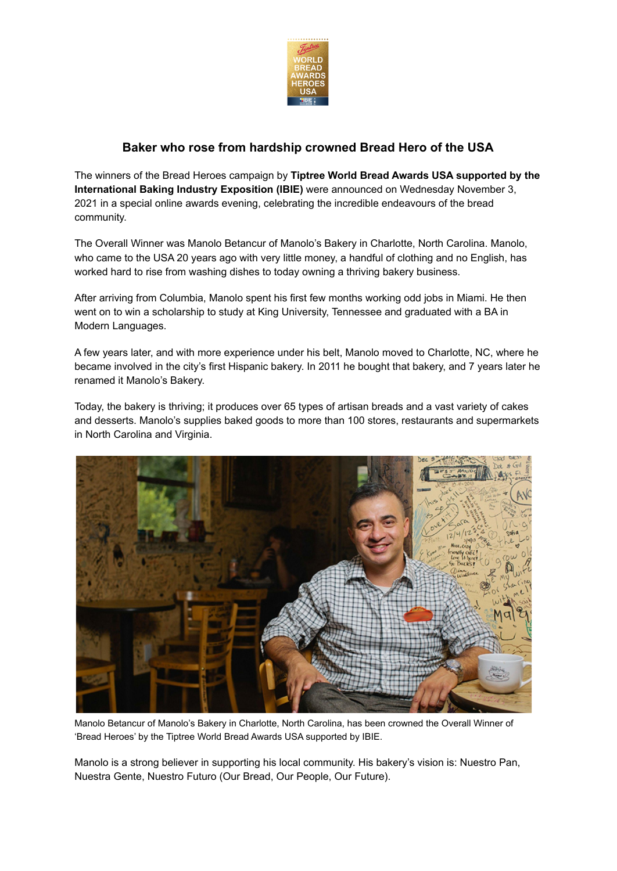

## **Baker who rose from hardship crowned Bread Hero of the USA**

The winners of the Bread Heroes campaign by **Tiptree World Bread Awards USA supported by the International Baking Industry Exposition (IBIE)** were announced on Wednesday November 3, 2021 in a special online awards evening, celebrating the incredible endeavours of the bread community.

The Overall Winner was Manolo Betancur of Manolo's Bakery in Charlotte, North Carolina. Manolo, who came to the USA 20 years ago with very little money, a handful of clothing and no English, has worked hard to rise from washing dishes to today owning a thriving bakery business.

After arriving from Columbia, Manolo spent his first few months working odd jobs in Miami. He then went on to win a scholarship to study at King University, Tennessee and graduated with a BA in Modern Languages.

A few years later, and with more experience under his belt, Manolo moved to Charlotte, NC, where he became involved in the city's first Hispanic bakery. In 2011 he bought that bakery, and 7 years later he renamed it Manolo's Bakery.

Today, the bakery is thriving; it produces over 65 types of artisan breads and a vast variety of cakes and desserts. Manolo's supplies baked goods to more than 100 stores, restaurants and supermarkets in North Carolina and Virginia.



Manolo Betancur of Manolo's Bakery in Charlotte, North Carolina, has been crowned the Overall Winner of 'Bread Heroes' by the Tiptree World Bread Awards USA supported by IBIE.

Manolo is a strong believer in supporting his local community. His bakery's vision is: Nuestro Pan, Nuestra Gente, Nuestro Futuro (Our Bread, Our People, Our Future).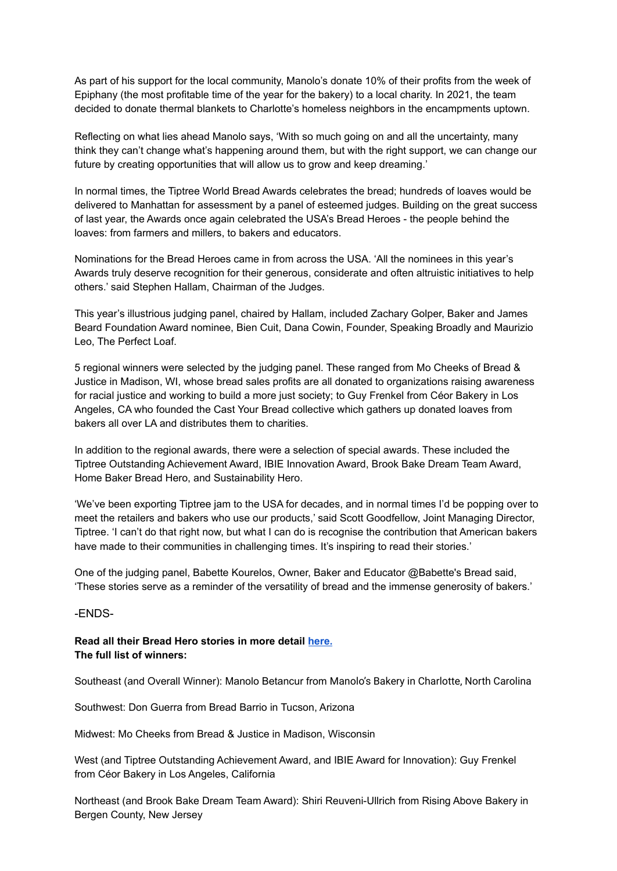As part of his support for the local community, Manolo's donate 10% of their profits from the week of Epiphany (the most profitable time of the year for the bakery) to a local charity. In 2021, the team decided to donate thermal blankets to Charlotte's homeless neighbors in the encampments uptown.

Reflecting on what lies ahead Manolo says, 'With so much going on and all the uncertainty, many think they can't change what's happening around them, but with the right support, we can change our future by creating opportunities that will allow us to grow and keep dreaming.'

In normal times, the Tiptree World Bread Awards celebrates the bread; hundreds of loaves would be delivered to Manhattan for assessment by a panel of esteemed judges. Building on the great success of last year, the Awards once again celebrated the USA's Bread Heroes - the people behind the loaves: from farmers and millers, to bakers and educators.

Nominations for the Bread Heroes came in from across the USA. 'All the nominees in this year's Awards truly deserve recognition for their generous, considerate and often altruistic initiatives to help others.' said Stephen Hallam, Chairman of the Judges.

This year's illustrious judging panel, chaired by Hallam, included Zachary Golper, Baker and James Beard Foundation Award nominee, Bien Cuit, Dana Cowin, Founder, Speaking Broadly and Maurizio Leo, The Perfect Loaf.

5 regional winners were selected by the judging panel. These ranged from Mo Cheeks of Bread & Justice in Madison, WI, whose bread sales profits are all donated to organizations raising awareness for racial justice and working to build a more just society; to Guy Frenkel from Céor Bakery in Los Angeles, CA who founded the Cast Your Bread collective which gathers up donated loaves from bakers all over LA and distributes them to charities.

In addition to the regional awards, there were a selection of special awards. These included the Tiptree Outstanding Achievement Award, IBIE Innovation Award, Brook Bake Dream Team Award, Home Baker Bread Hero, and Sustainability Hero.

'We've been exporting Tiptree jam to the USA for decades, and in normal times I'd be popping over to meet the retailers and bakers who use our products,' said Scott Goodfellow, Joint Managing Director, Tiptree. 'I can't do that right now, but what I can do is recognise the contribution that American bakers have made to their communities in challenging times. It's inspiring to read their stories.'

One of the judging panel, Babette Kourelos, Owner, Baker and Educator @Babette's Bread said, 'These stories serve as a reminder of the versatility of bread and the immense generosity of bakers.'

-ENDS-

## **Read all their Bread Hero stories in more detail [here.](https://www.worldbreadawardsusa.com/bread-hero-winners-usa-2021/) The full list of winners:**

Southeast (and Overall Winner): Manolo Betancur from Manolo's Bakery in Charlotte, North Carolina

Southwest: Don Guerra from Bread Barrio in Tucson, Arizona

Midwest: Mo Cheeks from Bread & Justice in Madison, Wisconsin

West (and Tiptree Outstanding Achievement Award, and IBIE Award for Innovation): Guy Frenkel from Céor Bakery in Los Angeles, California

Northeast (and Brook Bake Dream Team Award): Shiri Reuveni-Ullrich from Rising Above Bakery in Bergen County, New Jersey